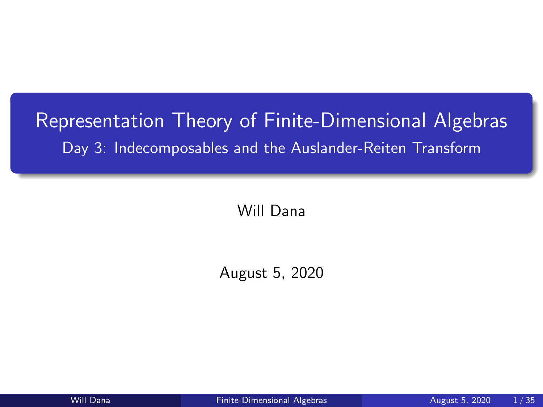# <span id="page-0-0"></span>Representation Theory of Finite-Dimensional Algebras Day 3: Indecomposables and the Auslander-Reiten Transform

Will Dana

August 5, 2020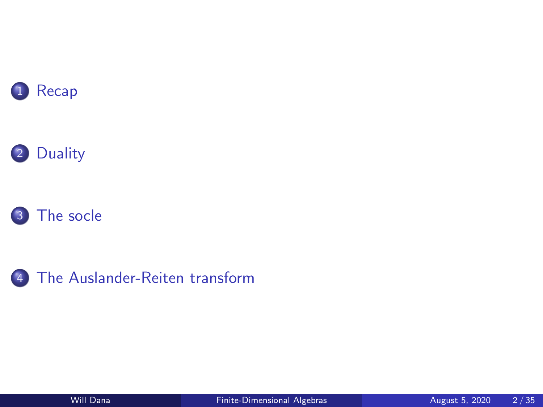







[The Auslander-Reiten transform](#page-15-0)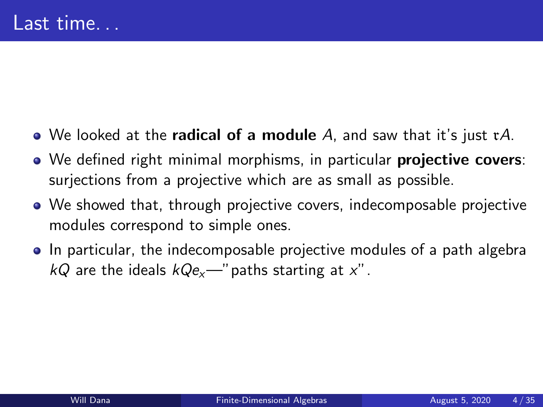- <span id="page-2-0"></span> $\bullet$  We looked at the **radical of a module** A, and saw that it's just  $\tau A$ .
- We defined right minimal morphisms, in particular **projective covers**: surjections from a projective which are as small as possible.
- We showed that, through projective covers, indecomposable projective modules correspond to simple ones.
- In particular, the indecomposable projective modules of a path algebra  $kQ$  are the ideals  $kQe_x$ —" paths starting at x".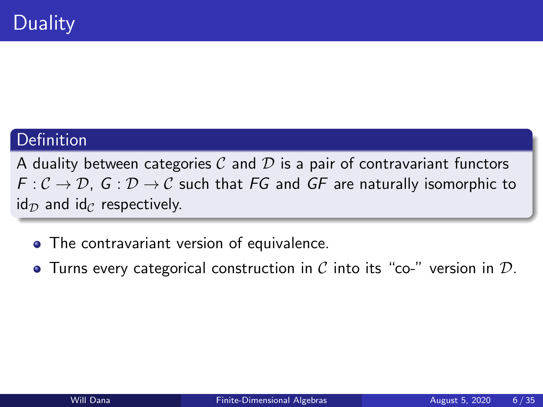### <span id="page-3-0"></span>Definition

A duality between categories  $C$  and  $D$  is a pair of contravariant functors  $F: \mathcal{C} \to \mathcal{D}$ ,  $G: \mathcal{D} \to \mathcal{C}$  such that FG and GF are naturally isomorphic to  $id_{\mathcal{D}}$  and  $id_{\mathcal{C}}$  respectively.

- The contravariant version of equivalence.
- Turns every categorical construction in C into its "co-" version in  $D$ .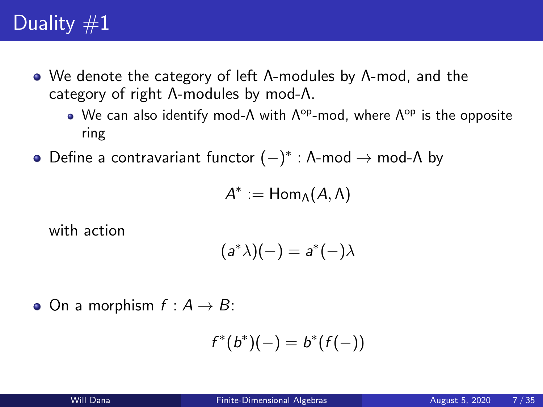- We denote the category of left Λ-modules by Λ-mod, and the category of right Λ-modules by mod-Λ.
	- We can also identify mod- $\Lambda$  with  $\Lambda^{op}$ -mod, where  $\Lambda^{op}$  is the opposite ring
- Define a contravariant functor  $(-)^*$  : Λ-mod  $\rightarrow$  mod-Λ by

$$
A^*:=\mathsf{Hom}_\Lambda(A,\Lambda)
$$

with action

$$
(a^*\lambda)(-) = a^*(-)\lambda
$$

 $\bullet$  On a morphism  $f : A \rightarrow B$ :

$$
f^*(b^*)(-) = b^*(f(-))
$$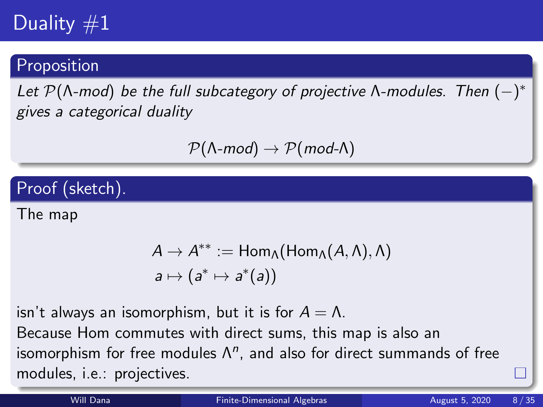### Proposition

Let  $\mathcal{P}(\Lambda\text{-mod})$  be the full subcategory of projective  $\Lambda\text{-modules.}$  Then  $(-)^*$ gives a categorical duality

 $\mathcal{P}(\Lambda\text{-mod}) \to \mathcal{P}(\text{mod-}\Lambda)$ 

Proof (sketch).

The map

$$
A \to A^{**} := \text{Hom}_{\Lambda}(\text{Hom}_{\Lambda}(A, \Lambda), \Lambda)
$$
  

$$
a \mapsto (a^* \mapsto a^*(a))
$$

isn't always an isomorphism, but it is for  $A = \Lambda$ .

Because Hom commutes with direct sums, this map is also an isomorphism for free modules  $\Lambda^n$ , and also for direct summands of free modules, i.e.: projectives.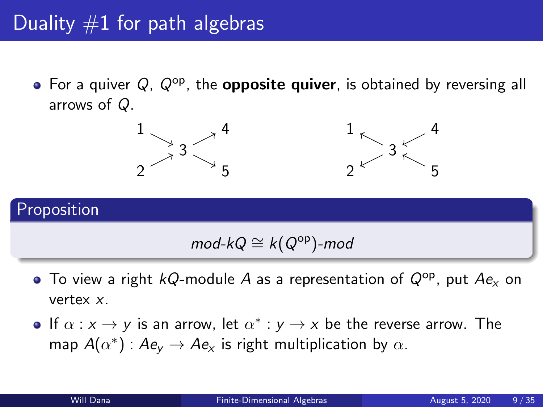• For a quiver  $Q$ ,  $Q^{op}$ , the **opposite quiver**, is obtained by reversing all arrows of Q.



## Proposition

## $mod$ -k $Q \cong k(Q^{op})$ -mod

- $\bullet$  To view a right kQ-module A as a representation of  $Q^{\rm op}$ , put  $Ae_{\rm x}$  on vertex x.
- If  $\alpha: x \to y$  is an arrow, let  $\alpha^*: y \to x$  be the reverse arrow. The map  $A(\alpha^*)$  :  $Ae_y \rightarrow Ae_x$  is right multiplication by  $\alpha$ .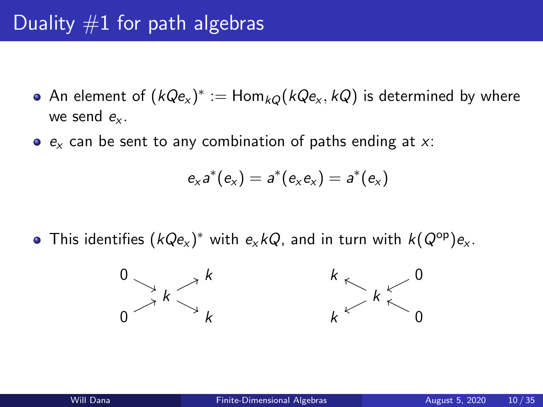# Duality  $#1$  for path algebras

- An element of  $(kQ \mathsf{e}_{\mathsf{x}})^* := \mathsf{Hom}_{kQ}(kQ\mathsf{e}_{\mathsf{x}}, kQ)$  is determined by where we send  $e_{x}$ .
- $e_x$  can be sent to any combination of paths ending at x:

$$
e_xa^*(e_x)=a^*(e_xe_x)=a^*(e_x)
$$

This identifies  $(\mathit{kQe}_x)^*$  with  $e_x\mathit{kQ}$ , and in turn with  $\mathit{k}(Q^\mathsf{op})e_x.$ 

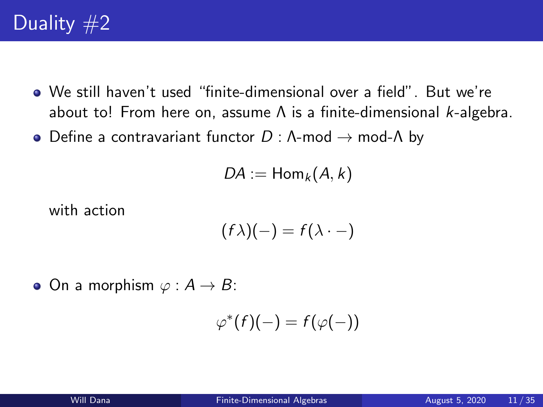- We still haven't used "finite-dimensional over a field". But we're about to! From here on, assume  $\Lambda$  is a finite-dimensional *k*-algebra.
- Define a contravariant functor  $D : \Lambda$ -mod  $\rightarrow$  mod- $\Lambda$  by

$$
DA:=\mathsf{Hom}_k(A,k)
$$

with action

$$
(f\lambda)(-) = f(\lambda \cdot -)
$$

• On a morphism  $\varphi : A \to B$ :

$$
\varphi^*(f)(-) = f(\varphi(-))
$$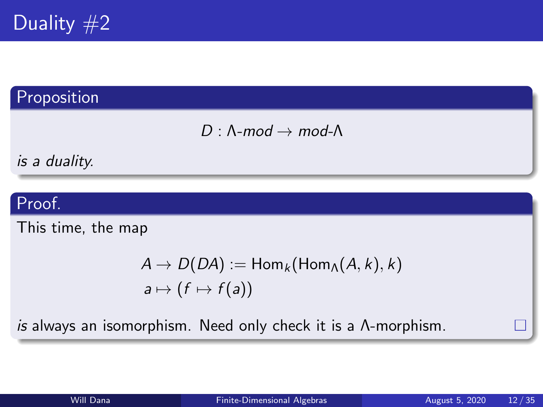

## Proposition

 $D : \Lambda$ -mod  $\rightarrow$  mod- $\Lambda$ 

is a duality.

### Proof.

This time, the map

$$
A \to D(DA) := \text{Hom}_k(\text{Hom}_A(A, k), k)
$$
  

$$
a \mapsto (f \mapsto f(a))
$$

is always an isomorphism. Need only check it is a Λ-morphism.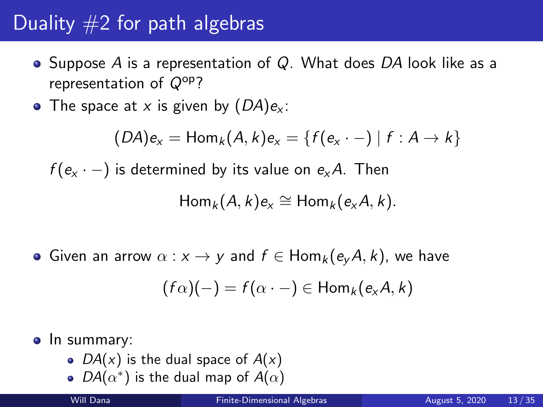# Duality  $#2$  for path algebras

- Suppose A is a representation of  $Q$ . What does DA look like as a representation of  $Q^{op}$ ?
- The space at x is given by  $(DA)e<sub>x</sub>$ :

 $(DA)e_x = Hom_k(A, k)e_x = \{f(e_x \cdot -) | f : A \to k\}$ 

 $f(e_x \cdot -)$  is determined by its value on  $e_x A$ . Then

$$
Hom_k(A,k)e_x \cong Hom_k(e_xA,k).
$$

• Given an arrow  $\alpha : x \to y$  and  $f \in Hom_k(e_{\nu}A, k)$ , we have

$$
(f\alpha)(-) = f(\alpha \cdot -) \in \mathsf{Hom}_k(e_xA, k)
$$

#### • In summary:

- $DA(x)$  is the dual space of  $A(x)$
- $DA(\alpha^*)$  is the dual map of  $A(\alpha)$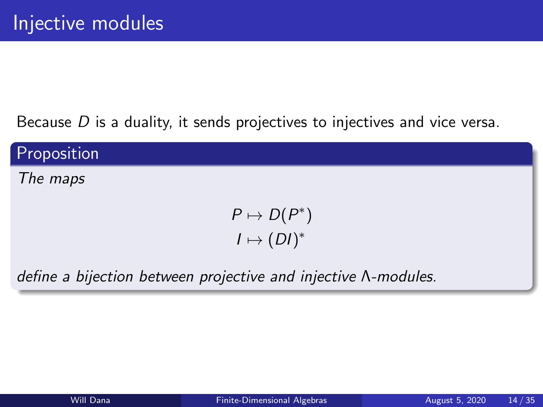Because  $D$  is a duality, it sends projectives to injectives and vice versa.

Proposition

The maps

 $P \mapsto D(P^*)$  $I \mapsto (DI)^*$ 

define a bijection between projective and injective Λ-modules.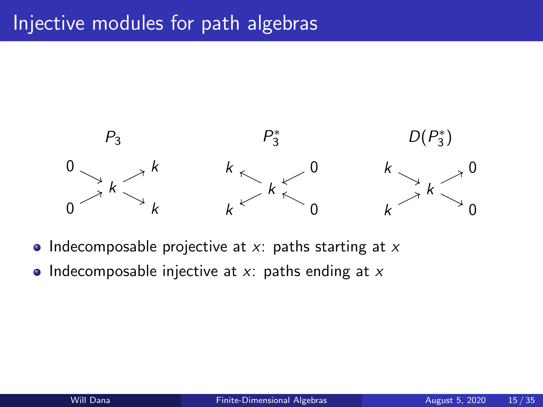

- Indecomposable projective at  $x$ : paths starting at  $x$
- Indecomposable injective at  $x$ : paths ending at  $x$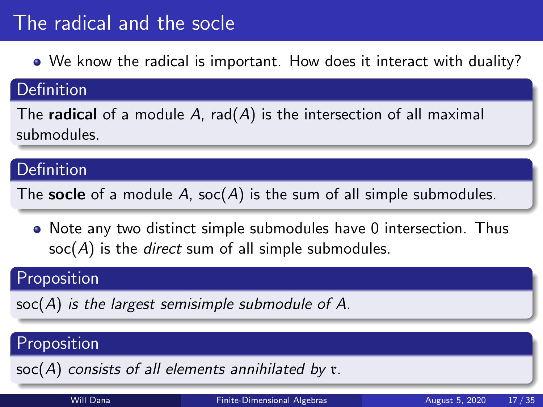# <span id="page-13-0"></span>The radical and the socle

We know the radical is important. How does it interact with duality?

#### Definition

The radical of a module A,  $rad(A)$  is the intersection of all maximal submodules.

### Definition

The socle of a module  $A$ , soc( $A$ ) is the sum of all simple submodules.

Note any two distinct simple submodules have 0 intersection. Thus  $soc(A)$  is the *direct* sum of all simple submodules.

### **Proposition**

 $soc(A)$  is the largest semisimple submodule of A.

### Proposition

 $\text{soc}(A)$  consists of all elements annihilated by  $\mathfrak{r}$ .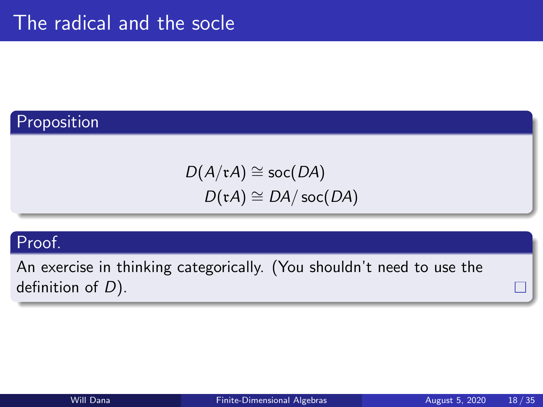## Proposition

 $D(A/\mathfrak{r} A) \cong$  soc( $DA$ )  $D(\mathfrak{r} A) \cong DA/\operatorname{soc}(DA)$ 

#### Proof.

An exercise in thinking categorically. (You shouldn't need to use the definition of  $D$ ).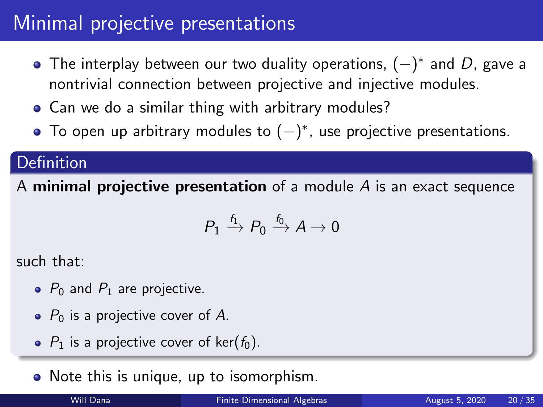# <span id="page-15-0"></span>Minimal projective presentations

- The interplay between our two duality operations,  $(-)^*$  and  $D$ , gave a nontrivial connection between projective and injective modules.
- Can we do a similar thing with arbitrary modules?
- To open up arbitrary modules to  $(-)^*$ , use projective presentations.

### Definition

A minimal projective presentation of a module  $\overline{A}$  is an exact sequence

$$
P_1 \xrightarrow{f_1} P_0 \xrightarrow{f_0} A \to 0
$$

such that:

- $\bullet$  P<sub>0</sub> and P<sub>1</sub> are projective.
- $\bullet$  P<sub>0</sub> is a projective cover of A.
- $P_1$  is a projective cover of ker( $f_0$ ).

• Note this is unique, up to isomorphism.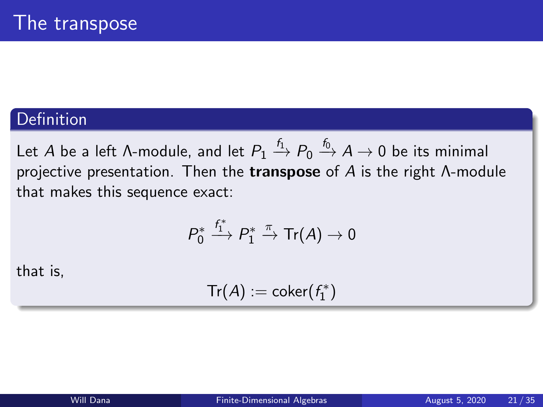### **Definition**

Let  $A$  be a left Λ-module, and let  $P_1 \stackrel{f_1}{\rightarrow} P_0 \stackrel{f_0}{\rightarrow} A \rightarrow 0$  be its minimal projective presentation. Then the **transpose** of  $A$  is the right  $\Lambda$ -module that makes this sequence exact:

$$
P_0^* \stackrel{f_1^*}{\longrightarrow} P_1^* \stackrel{\pi}{\rightarrow} \text{Tr}(A) \rightarrow 0
$$

that is,

$$
\mathsf{Tr}(A):=\mathsf{coker}(f_1^*)
$$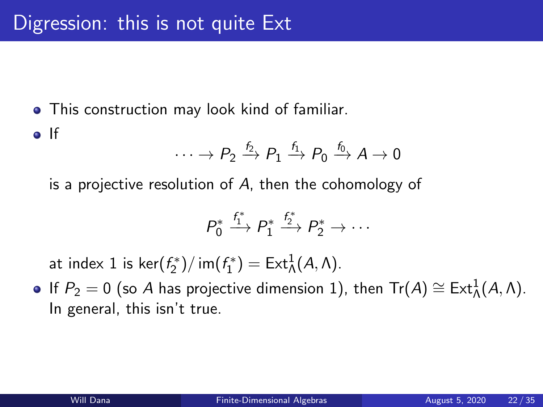**•** This construction may look kind of familiar. o If

$$
\cdots \rightarrow P_2 \xrightarrow{f_2} P_1 \xrightarrow{f_1} P_0 \xrightarrow{f_0} A \rightarrow 0
$$

is a projective resolution of A, then the cohomology of

$$
P_0^* \xrightarrow{f_1^*} P_1^* \xrightarrow{f_2^*} P_2^* \to \cdots
$$

at index 1 is ker $(f_2^*)/$  im $(f_1^*) = \text{Ext}^1_\Lambda(A, \Lambda)$ .

If  $P_2 = 0$  (so A has projective dimension 1), then  $\text{Tr}(A) \cong \text{Ext}^1_\Lambda(A,\Lambda).$ In general, this isn't true.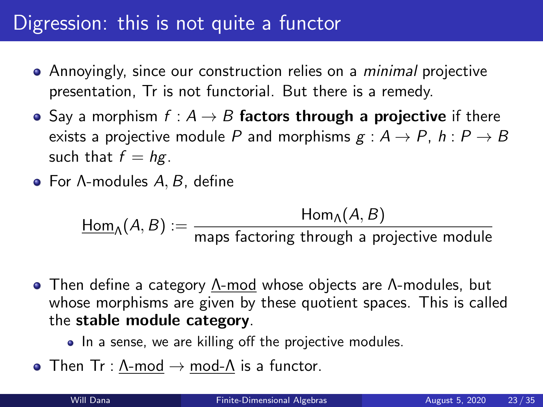# Digression: this is not quite a functor

- Annoyingly, since our construction relies on a *minimal* projective presentation, Tr is not functorial. But there is a remedy.
- Say a morphism  $f : A \rightarrow B$  factors through a projective if there exists a projective module P and morphisms  $g : A \rightarrow P$ ,  $h : P \rightarrow B$ such that  $f = hg$ .
- For Λ-modules A, B, define

 $\underline{\mathsf{Hom}}_\Lambda(A,B) := \frac{\mathsf{Hom}_\Lambda(A,B)}{\mathsf{maps}~\mathsf{factoring}~\mathsf{through}~\mathsf{a}~\mathsf{projective}~\mathsf{module}}$ 

- Then define a category Λ-mod whose objects are Λ-modules, but whose morphisms are given by these quotient spaces. This is called the stable module category.
	- In a sense, we are killing off the projective modules.
- Then Tr :  $\Lambda$ -mod  $\rightarrow$  mod- $\Lambda$  is a functor.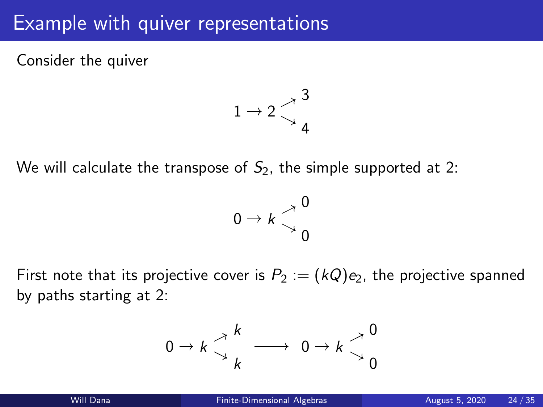## Example with quiver representations

Consider the quiver



We will calculate the transpose of  $S_2$ , the simple supported at 2:



First note that its projective cover is  $P_2 := (kQ)e_2$ , the projective spanned by paths starting at 2:

$$
0 \to k \underset{k}{\overset{\nearrow}{\searrow}} \underset{k}{\overset{k}{\longrightarrow}} 0 \to k \underset{0}{\overset{\nearrow}{\searrow}} \underset{0}{\overset{0}{\searrow}}
$$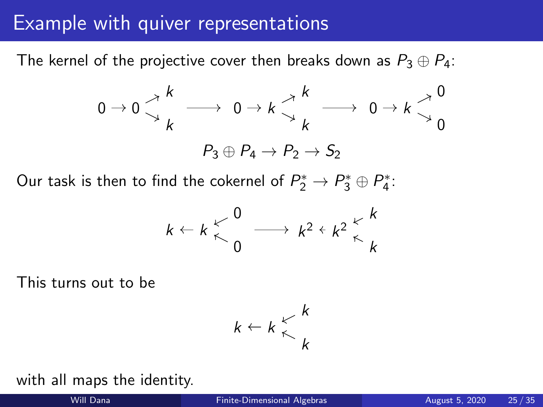## Example with quiver representations

The kernel of the projective cover then breaks down as  $P_3 \oplus P_4$ :



Our task is then to find the cokernel of  $P_2^* \rightarrow P_3^* \oplus P_4^*.$ 

$$
k \leftarrow k \begin{matrix} & 0 \\ & \nwarrow \\ & 0 \end{matrix} \longrightarrow k^2 \leftarrow k^2 \begin{matrix} & k \\ & \nwarrow \\ & k \end{matrix}
$$

This turns out to be



#### with all maps the identity.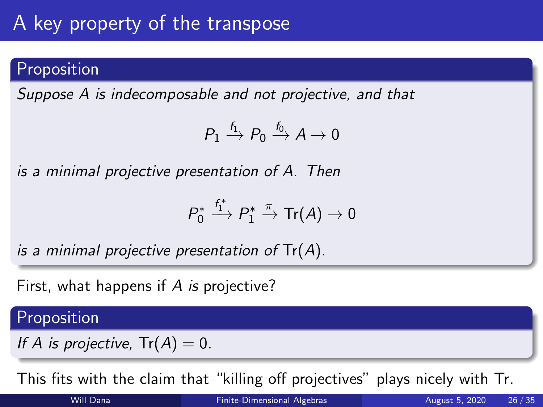# A key property of the transpose

## Proposition

Suppose A is indecomposable and not projective, and that

$$
P_1 \xrightarrow{f_1} P_0 \xrightarrow{f_0} A \to 0
$$

is a minimal projective presentation of A. Then

$$
P_0^* \stackrel{f_1^*}{\longrightarrow} P_1^* \stackrel{\pi}{\rightarrow} \mathsf{Tr}(A) \rightarrow 0
$$

is a minimal projective presentation of  $Tr(A)$ .

First, what happens if A is projective?

### Proposition

If A is projective,  $Tr(A) = 0$ .

This fits with the claim that "killing off projectives" plays nicely with Tr.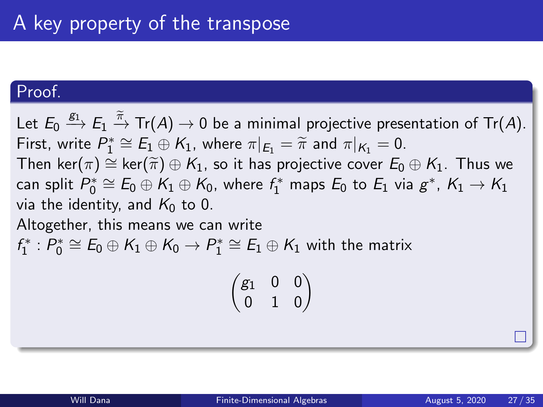### Proof.

Let  $E_0 \stackrel{g_1}{\longrightarrow} E_1 \stackrel{\widetilde{\pi}}{\rightarrow} \text{Tr}(A) \rightarrow 0$  be a minimal projective presentation of  $\text{Tr}(A).$ First, write  $P_1^* \cong E_1 \oplus K_1$ , where  $\pi|_{E_1} = \tilde{\pi}$  and  $\pi|_{K_1} = 0$ .<br>Then  $ker(\pi) \cong ker(\tilde{\pi}) \oplus K_2$ , so it has projective sover  $E_2$ . Then ker( $\pi$ ) ≅ ker( $\widetilde{\pi}$ )  $\oplus$  K<sub>1</sub>, so it has projective cover  $E_0 \oplus K_1$ . Thus we can split  $P_0^*\cong E_0\oplus \mathcal{K}_1\oplus \mathcal{K}_0$ , where  $f_1^*$  maps  $E_0$  to  $E_1$  via  $g^*,\, \mathcal{K}_1\to \mathcal{K}_1$ via the identity, and  $K_0$  to 0. Altogether, this means we can write  $f_1^*: P_0^* \cong E_0 \oplus K_1 \oplus K_0 \to P_1^* \cong E_1 \oplus K_1$  with the matrix

$$
\begin{pmatrix}g_1&0&0\\0&1&0\end{pmatrix}
$$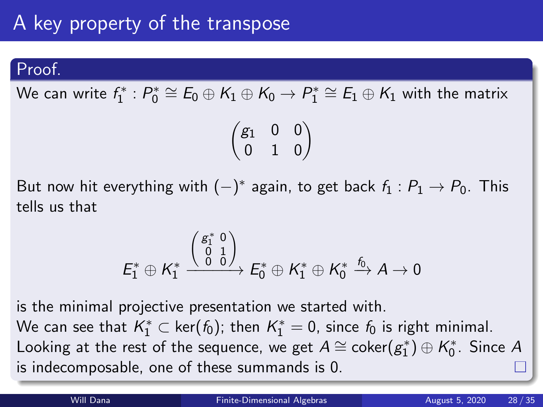#### Proof.

We can write  $f_1^*: P_0^* \cong E_0 \oplus K_1 \oplus K_0 \to P_1^* \cong E_1 \oplus K_1$  with the matrix

$$
\begin{pmatrix}g_1&0&0\\0&1&0\end{pmatrix}
$$

But now hit everything with  $(-)^*$  again, to get back  $f_1: P_1 \rightarrow P_0$ . This tells us that

$$
\mathit{E}_1^* \oplus \mathit{K}_1^* \xrightarrow{\left(\begin{smallmatrix}g_1^* & 0 \\ 0 & 1 \\ 0 & 0\end{smallmatrix}\right)} \mathit{E}_0^* \oplus \mathit{K}_1^* \oplus \mathit{K}_0^* \xrightarrow{f_0} \mathit{A} \rightarrow 0
$$

is the minimal projective presentation we started with. We can see that  $\mathcal{K}_1^* \subset \mathsf{ker}(\mathit{f}_0)$ ; then  $\mathcal{K}_1^* = 0$ , since  $\mathit{f}_0$  is right minimal. Looking at the rest of the sequence, we get  $A \cong \mathsf{coker}(g_1^*) \oplus \mathsf{K}_0^*$ . Since  $A$ is indecomposable, one of these summands is 0.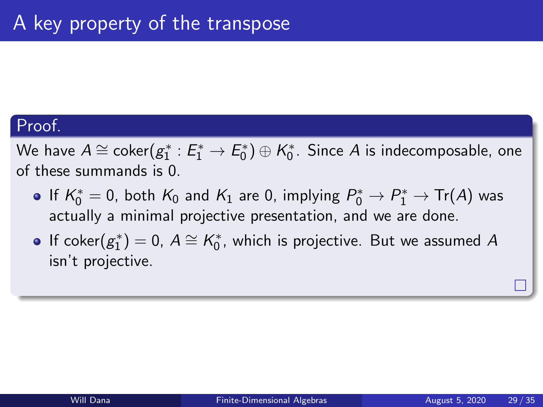### Proof.

We have  $A\cong \mathsf{coker} (g_1^*:E_1^*\rightarrow E_0^*)\oplus \mathcal{K}_0^*.$  Since  $A$  is indecomposable, one of these summands is 0.

- If  $K_0^*=0$ , both  $K_0$  and  $K_1$  are 0, implying  $P_0^*\rightarrow P_1^*\rightarrow\text{Tr}(A)$  was actually a minimal projective presentation, and we are done.
- If coker $(g_1^*) = 0$ ,  $A \cong K_0^*$ , which is projective. But we assumed  $A$ isn't projective.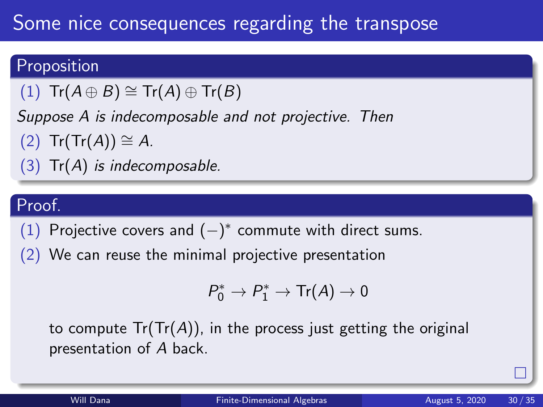# Some nice consequences regarding the transpose

## Proposition

(1)  $\text{Tr}(A \oplus B) \cong \text{Tr}(A) \oplus \text{Tr}(B)$ 

Suppose A is indecomposable and not projective. Then

 $(2)$  Tr(Tr(A)) ≅ A.

 $(3)$  Tr(A) is indecomposable.

## Proof.

(1) Projective covers and  $(-)^*$  commute with direct sums.

(2) We can reuse the minimal projective presentation

$$
P_0^* \to P_1^* \to \text{Tr}(A) \to 0
$$

to compute  $Tr(Tr(A))$ , in the process just getting the original presentation of A back.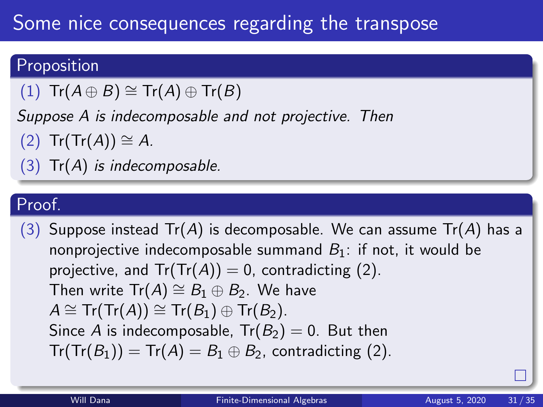# Some nice consequences regarding the transpose

### Proposition

 $(1)$  Tr $(A \oplus B) \cong Tr(A) \oplus Tr(B)$ 

Suppose A is indecomposable and not projective. Then

 $(2)$  Tr(Tr(A))  $\cong$  A.

 $(3)$  Tr $(A)$  is indecomposable.

## Proof.

(3) Suppose instead  $Tr(A)$  is decomposable. We can assume  $Tr(A)$  has a nonprojective indecomposable summand  $B_1$ : if not, it would be projective, and  $Tr(Tr(A)) = 0$ , contradicting (2). Then write  $Tr(A) \cong B_1 \oplus B_2$ . We have  $A \cong Tr(Tr(A)) \cong Tr(B_1) \oplus Tr(B_2)$ . Since A is indecomposable,  $Tr(B_2) = 0$ . But then  $Tr(Tr(B_1)) = Tr(A) = B_1 \oplus B_2$ , contradicting (2).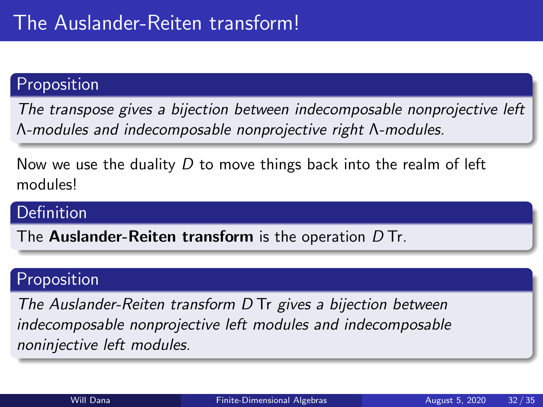### Proposition

The transpose gives a bijection between indecomposable nonprojective left Λ-modules and indecomposable nonprojective right Λ-modules.

Now we use the duality  $D$  to move things back into the realm of left modules!

### Definition

The **Auslander-Reiten transform** is the operation  $D$  Tr.

### Proposition

The Auslander-Reiten transform D Tr gives a bijection between indecomposable nonprojective left modules and indecomposable noninjective left modules.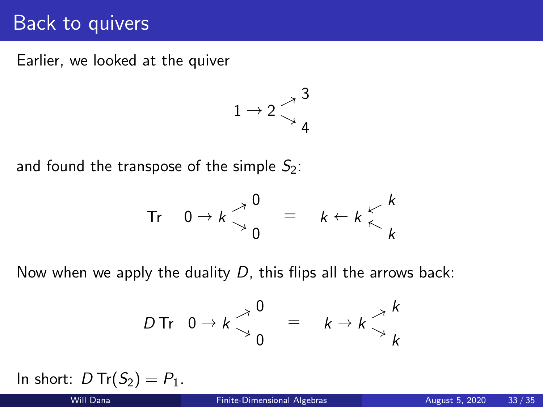## Back to quivers

Earlier, we looked at the quiver

$$
1\rightarrow 2\mathop{\searrow}\limits^{~\nearrow}{\mathop{4}\limits^{3}}
$$

and found the transpose of the simple  $S_2$ :

$$
\text{Tr} \quad 0 \to k \begin{matrix} 0 \\ 0 \end{matrix} = k \begin{matrix} k \\ k \end{matrix} \begin{matrix} k \\ k \end{matrix}
$$

Now when we apply the duality  $D$ , this flips all the arrows back:

$$
D \text{Tr} \quad 0 \to k \begin{matrix} 0 \\ 0 \end{matrix} = k \to k \begin{matrix} k \\ k \end{matrix}
$$

In short:  $D Tr(S_2) = P_1$ .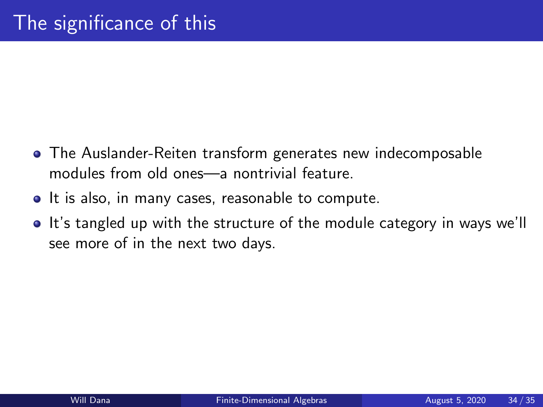- The Auslander-Reiten transform generates new indecomposable modules from old ones—a nontrivial feature.
- It is also, in many cases, reasonable to compute.
- It's tangled up with the structure of the module category in ways we'll see more of in the next two days.